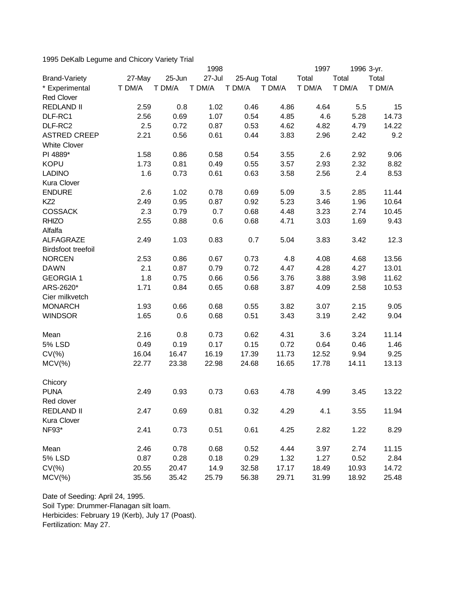1995 DeKalb Legume and Chicory Variety Trial

|                      |        | 1998   |        |              | 1997   | 1996 3-yr. |        |        |
|----------------------|--------|--------|--------|--------------|--------|------------|--------|--------|
| <b>Brand-Variety</b> | 27-May | 25-Jun | 27-Jul | 25-Aug Total |        | Total      | Total  | Total  |
| * Experimental       | T DM/A | T DM/A | T DM/A | T DM/A       | T DM/A | T DM/A     | T DM/A | T DM/A |
| <b>Red Clover</b>    |        |        |        |              |        |            |        |        |
| <b>REDLAND II</b>    | 2.59   | 0.8    | 1.02   | 0.46         | 4.86   | 4.64       | 5.5    | 15     |
| DLF-RC1              | 2.56   | 0.69   | 1.07   | 0.54         | 4.85   | 4.6        | 5.28   | 14.73  |
| DLF-RC2              | 2.5    | 0.72   | 0.87   | 0.53         | 4.62   | 4.82       | 4.79   | 14.22  |
| <b>ASTRED CREEP</b>  | 2.21   | 0.56   | 0.61   | 0.44         | 3.83   | 2.96       | 2.42   | 9.2    |
| <b>White Clover</b>  |        |        |        |              |        |            |        |        |
| PI 4889*             | 1.58   | 0.86   | 0.58   | 0.54         | 3.55   | 2.6        | 2.92   | 9.06   |
| <b>KOPU</b>          | 1.73   | 0.81   | 0.49   | 0.55         | 3.57   | 2.93       | 2.32   | 8.82   |
| <b>LADINO</b>        | 1.6    | 0.73   | 0.61   | 0.63         | 3.58   | 2.56       | 2.4    | 8.53   |
| Kura Clover          |        |        |        |              |        |            |        |        |
| <b>ENDURE</b>        | 2.6    | 1.02   | 0.78   | 0.69         | 5.09   | 3.5        | 2.85   | 11.44  |
| KZ <sub>2</sub>      | 2.49   | 0.95   | 0.87   | 0.92         | 5.23   | 3.46       | 1.96   | 10.64  |
| <b>COSSACK</b>       | 2.3    | 0.79   | 0.7    | 0.68         | 4.48   | 3.23       | 2.74   | 10.45  |
| <b>RHIZO</b>         | 2.55   | 0.88   | 0.6    | 0.68         | 4.71   | 3.03       | 1.69   | 9.43   |
| Alfalfa              |        |        |        |              |        |            |        |        |
| <b>ALFAGRAZE</b>     | 2.49   | 1.03   | 0.83   | 0.7          | 5.04   | 3.83       | 3.42   | 12.3   |
| Birdsfoot treefoil   |        |        |        |              |        |            |        |        |
| <b>NORCEN</b>        | 2.53   | 0.86   | 0.67   | 0.73         | 4.8    | 4.08       | 4.68   | 13.56  |
| <b>DAWN</b>          | 2.1    | 0.87   | 0.79   | 0.72         | 4.47   | 4.28       | 4.27   | 13.01  |
| <b>GEORGIA 1</b>     | 1.8    | 0.75   | 0.66   | 0.56         | 3.76   | 3.88       | 3.98   | 11.62  |
| ARS-2620*            | 1.71   | 0.84   | 0.65   | 0.68         | 3.87   | 4.09       | 2.58   | 10.53  |
| Cier milkvetch       |        |        |        |              |        |            |        |        |
| <b>MONARCH</b>       | 1.93   | 0.66   | 0.68   | 0.55         | 3.82   | 3.07       | 2.15   | 9.05   |
| <b>WINDSOR</b>       | 1.65   | 0.6    | 0.68   | 0.51         | 3.43   | 3.19       | 2.42   | 9.04   |
|                      |        |        |        |              |        |            |        |        |
| Mean                 | 2.16   | 0.8    | 0.73   | 0.62         | 4.31   | 3.6        | 3.24   | 11.14  |
| <b>5% LSD</b>        | 0.49   | 0.19   | 0.17   | 0.15         | 0.72   | 0.64       | 0.46   | 1.46   |
| $CV(\% )$            | 16.04  | 16.47  | 16.19  | 17.39        | 11.73  | 12.52      | 9.94   | 9.25   |
| $MCV(\%)$            | 22.77  | 23.38  | 22.98  | 24.68        | 16.65  | 17.78      | 14.11  | 13.13  |
|                      |        |        |        |              |        |            |        |        |
| Chicory              |        |        |        |              |        |            |        |        |
| <b>PUNA</b>          | 2.49   | 0.93   | 0.73   | 0.63         | 4.78   | 4.99       | 3.45   | 13.22  |
| Red clover           |        |        |        |              |        |            |        |        |
| <b>REDLAND II</b>    | 2.47   | 0.69   | 0.81   | 0.32         | 4.29   | 4.1        | 3.55   | 11.94  |
| Kura Clover          |        |        |        |              |        |            |        |        |
| NF93*                | 2.41   | 0.73   | 0.51   | 0.61         | 4.25   | 2.82       | 1.22   | 8.29   |
|                      |        |        |        |              |        |            |        |        |
| Mean                 | 2.46   | 0.78   | 0.68   | 0.52         | 4.44   | 3.97       | 2.74   | 11.15  |
| <b>5% LSD</b>        | 0.87   | 0.28   | 0.18   | 0.29         | 1.32   | 1.27       | 0.52   | 2.84   |
| $CV(\% )$            | 20.55  | 20.47  | 14.9   | 32.58        | 17.17  | 18.49      | 10.93  | 14.72  |
| $MCV(\%)$            | 35.56  | 35.42  | 25.79  | 56.38        | 29.71  | 31.99      | 18.92  | 25.48  |

Date of Seeding: April 24, 1995. Soil Type: Drummer-Flanagan silt loam. Herbicides: February 19 (Kerb), July 17 (Poast). Fertilization: May 27.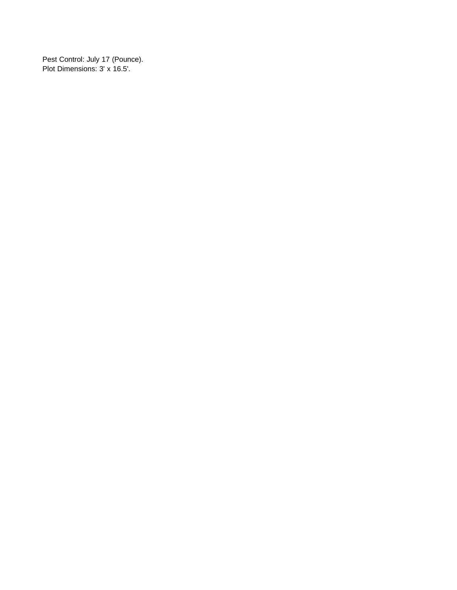Pest Control: July 17 (Pounce). Plot Dimensions: 3' x 16.5'.